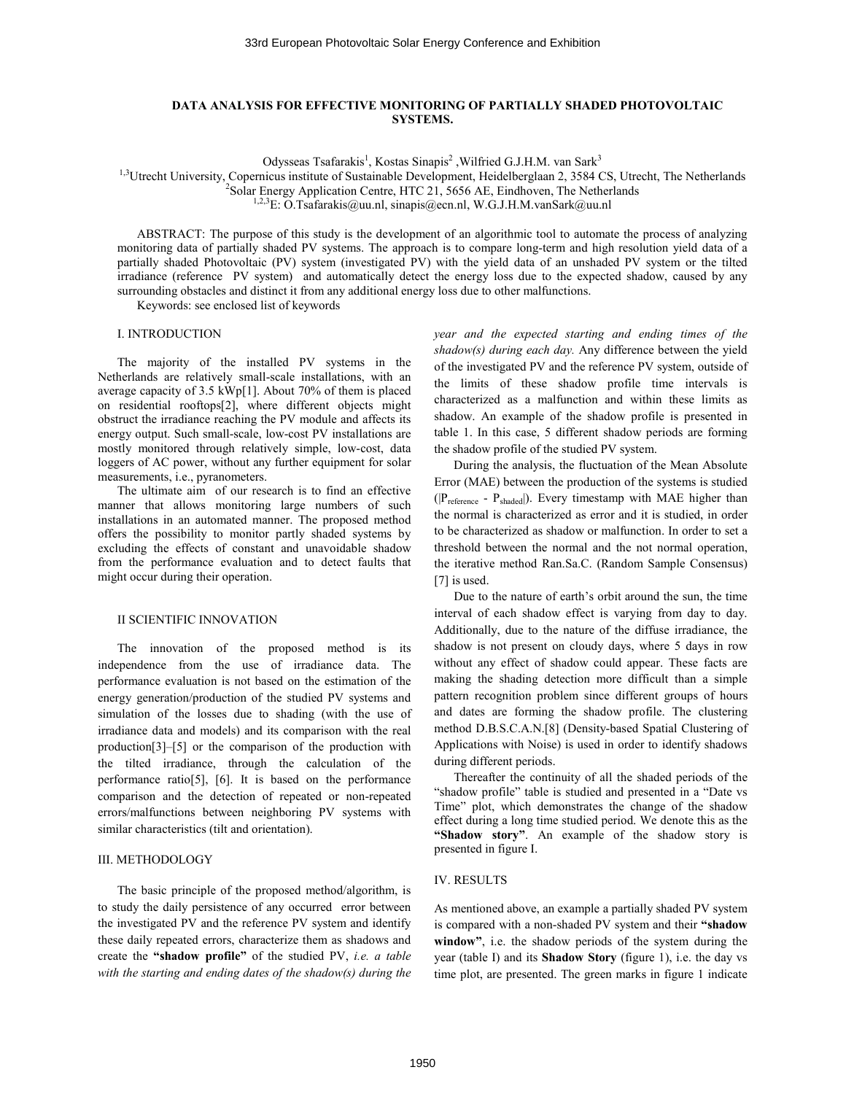# **DATA ANALYSIS FOR EFFECTIVE MONITORING OF PARTIALLY SHADED PHOTOVOLTAIC SYSTEMS.**

Odysseas Tsafarakis<sup>1</sup>, Kostas Sinapis<sup>2</sup>, Wilfried G.J.H.M. van Sark<sup>3</sup>

<sup>1,3</sup>Utrecht University, Copernicus institute of Sustainable Development, Heidelberglaan 2, 3584 CS, Utrecht, The Netherlands

<sup>2</sup>Solar Energy Application Centre, HTC 21, 5656 AE, Eindhoven, The Netherlands

 $1,2,3$ E[: O.Tsafarakis@uu.nl,](mailto:O.Tsafarakis@uu.nl) sinapis@ecn.nl[, W.G.J.H.M.vanSark@uu.nl](mailto:W.G.J.H.M.vanSark@uu.nl)

ABSTRACT: The purpose of this study is the development of an algorithmic tool to automate the process of analyzing monitoring data of partially shaded PV systems. The approach is to compare long-term and high resolution yield data of a partially shaded Photovoltaic (PV) system (investigated PV) with the yield data of an unshaded PV system or the tilted irradiance (reference PV system) and automatically detect the energy loss due to the expected shadow, caused by any surrounding obstacles and distinct it from any additional energy loss due to other malfunctions.

Keywords: see enclosed list of keywords

### I. INTRODUCTION

The majority of the installed PV systems in the Netherlands are relatively small-scale installations, with an average capacity of 3.5 kWp[1]. About 70% of them is placed on residential rooftops[2], where different objects might obstruct the irradiance reaching the PV module and affects its energy output. Such small-scale, low-cost PV installations are mostly monitored through relatively simple, low-cost, data loggers of AC power, without any further equipment for solar measurements, i.e., pyranometers.

The ultimate aim of our research is to find an effective manner that allows monitoring large numbers of such installations in an automated manner. The proposed method offers the possibility to monitor partly shaded systems by excluding the effects of constant and unavoidable shadow from the performance evaluation and to detect faults that might occur during their operation.

#### II SCIENTIFIC INNOVATION

The innovation of the proposed method is its independence from the use of irradiance data. The performance evaluation is not based on the estimation of the energy generation/production of the studied PV systems and simulation of the losses due to shading (with the use of irradiance data and models) and its comparison with the real production[3]–[5] or the comparison of the production with the tilted irradiance, through the calculation of the performance ratio[5], [6]. It is based on the performance comparison and the detection of repeated or non-repeated errors/malfunctions between neighboring PV systems with similar characteristics (tilt and orientation).

## III. METHODOLOGY

The basic principle of the proposed method/algorithm, is to study the daily persistence of any occurred error between the investigated PV and the reference PV system and identify these daily repeated errors, characterize them as shadows and create the **"shadow profile"** of the studied PV, *i.e. a table with the starting and ending dates of the shadow(s) during the* 

*year and the expected starting and ending times of the shadow(s) during each day.* Any difference between the yield of the investigated PV and the reference PV system, outside of the limits of these shadow profile time intervals is characterized as a malfunction and within these limits as shadow. An example of the shadow profile is presented in table 1. In this case, 5 different shadow periods are forming the shadow profile of the studied PV system.

During the analysis, the fluctuation of the Mean Absolute Error (MAE) between the production of the systems is studied ( $|P_{reference} - P_{shaded}|$ ). Every timestamp with MAE higher than the normal is characterized as error and it is studied, in order to be characterized as shadow or malfunction. In order to set a threshold between the normal and the not normal operation, the iterative method Ran.Sa.C. (Random Sample Consensus) [7] is used.

Due to the nature of earth's orbit around the sun, the time interval of each shadow effect is varying from day to day. Additionally, due to the nature of the diffuse irradiance, the shadow is not present on cloudy days, where 5 days in row without any effect of shadow could appear. These facts are making the shading detection more difficult than a simple pattern recognition problem since different groups of hours and dates are forming the shadow profile. The clustering method D.B.S.C.A.N.[8] (Density-based Spatial Clustering of Applications with Noise) is used in order to identify shadows during different periods.

Thereafter the continuity of all the shaded periods of the "shadow profile" table is studied and presented in a "Date vs Time" plot, which demonstrates the change of the shadow effect during a long time studied period. We denote this as the **"Shadow story"**. An example of the shadow story is presented in figure I.

### IV. RESULTS

As mentioned above, an example a partially shaded PV system is compared with a non-shaded PV system and their **"shadow window"**, i.e. the shadow periods of the system during the year (table I) and its **Shadow Story** (figure 1), i.e. the day vs time plot, are presented. The green marks in figure 1 indicate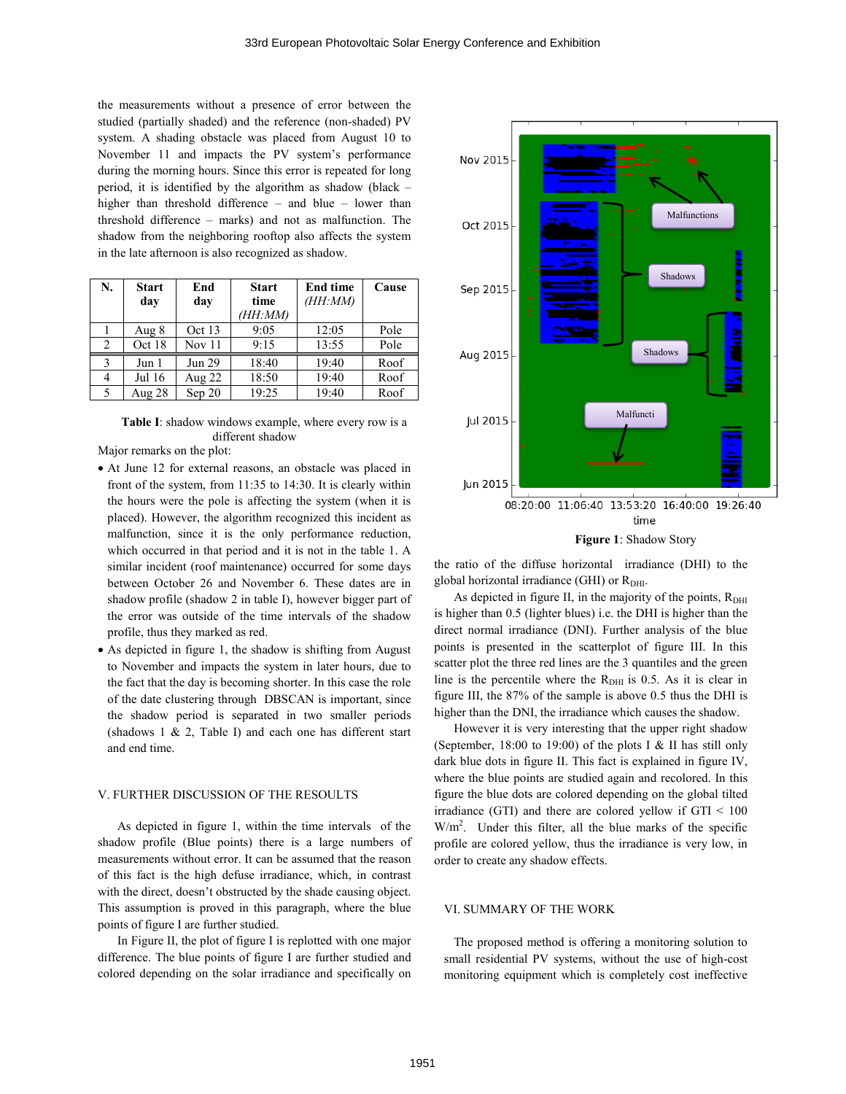the measurements without a presence of error between the studied (partially shaded) and the reference (non-shaded) PV system. A shading obstacle was placed from August 10 to November 11 and impacts the PV system's performance during the morning hours. Since this error is repeated for long period, it is identified by the algorithm as shadow (black – higher than threshold difference – and blue – lower than threshold difference – marks) and not as malfunction. The shadow from the neighboring rooftop also affects the system in the late afternoon is also recognized as shadow.

| N. | <b>Start</b> | End    | <b>Start</b> | <b>End time</b> | Cause |
|----|--------------|--------|--------------|-----------------|-------|
|    | dav          | day    | time         | (HH:MM)         |       |
|    |              |        | (HH:MM)      |                 |       |
|    | Aug 8        | Oct 13 | 9:05         | 12:05           | Pole  |
| 2  | Oct 18       | Nov 11 | 9:15         | 13:55           | Pole  |
| 3  | Jun 1        | Jun 29 | 18:40        | 19:40           | Roof  |
| 4  | Jul 16       | Aug 22 | 18:50        | 19:40           | Roof  |
| 5  | Aug $28$     | Sep 20 | 19:25        | 19:40           | Roof  |

**Table I**: shadow windows example, where every row is a different shadow

Major remarks on the plot:

- At June 12 for external reasons, an obstacle was placed in front of the system, from 11:35 to 14:30. It is clearly within the hours were the pole is affecting the system (when it is placed). However, the algorithm recognized this incident as malfunction, since it is the only performance reduction, which occurred in that period and it is not in the table 1. A similar incident (roof maintenance) occurred for some days between October 26 and November 6. These dates are in shadow profile (shadow 2 in table I), however bigger part of the error was outside of the time intervals of the shadow profile, thus they marked as red.
- As depicted in figure 1, the shadow is shifting from August to November and impacts the system in later hours, due to the fact that the day is becoming shorter. In this case the role of the date clustering through DBSCAN is important, since the shadow period is separated in two smaller periods (shadows 1 & 2, Table I) and each one has different start and end time.

## V. FURTHER DISCUSSION OF THE RESOULTS

As depicted in figure 1, within the time intervals of the shadow profile (Blue points) there is a large numbers of measurements without error. It can be assumed that the reason of this fact is the high defuse irradiance, which, in contrast with the direct, doesn't obstructed by the shade causing object. This assumption is proved in this paragraph, where the blue points of figure I are further studied.

In Figure II, the plot of figure I is replotted with one major difference. The blue points of figure I are further studied and colored depending on the solar irradiance and specifically on



the ratio of the diffuse horizontal irradiance (DHI) to the global horizontal irradiance (GHI) or  $R<sub>DHI</sub>$ .

As depicted in figure II, in the majority of the points,  $R<sub>DHI</sub>$ is higher than 0.5 (lighter blues) i.e. the DHI is higher than the direct normal irradiance (DNI). Further analysis of the blue points is presented in the scatterplot of figure III. In this scatter plot the three red lines are the 3 quantiles and the green line is the percentile where the  $R<sub>DHI</sub>$  is 0.5. As it is clear in figure III, the 87% of the sample is above 0.5 thus the DHI is higher than the DNI, the irradiance which causes the shadow.

However it is very interesting that the upper right shadow (September, 18:00 to 19:00) of the plots I & II has still only dark blue dots in figure II. This fact is explained in figure IV, where the blue points are studied again and recolored. In this figure the blue dots are colored depending on the global tilted irradiance (GTI) and there are colored yellow if  $GTI < 100$  $W/m<sup>2</sup>$ . Under this filter, all the blue marks of the specific profile are colored yellow, thus the irradiance is very low, in order to create any shadow effects.

### VI. SUMMARY OF THE WORK

The proposed method is offering a monitoring solution to small residential PV systems, without the use of high-cost monitoring equipment which is completely cost ineffective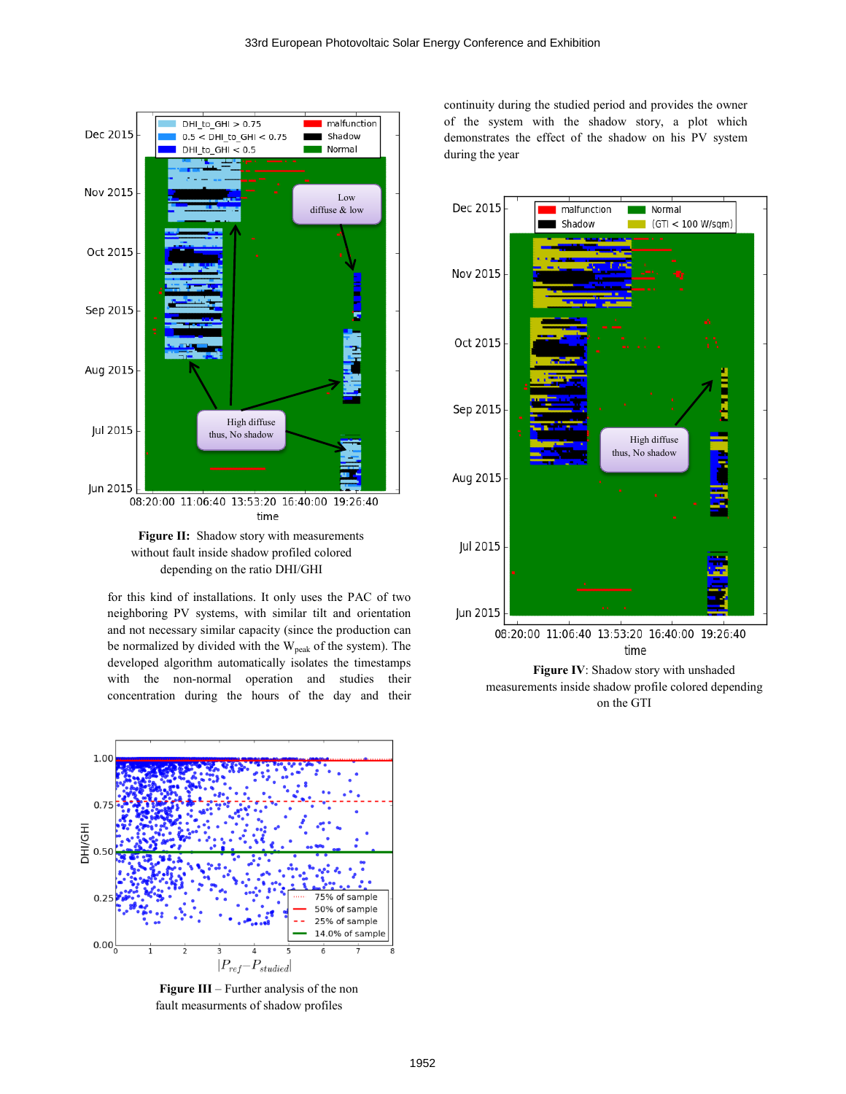

depending on the ratio DHI/GHI

for this kind of installations. It only uses the PAC of two neighboring PV systems, with similar tilt and orientation and not necessary similar capacity (since the production can be normalized by divided with the  $W_{peak}$  of the system). The developed algorithm automatically isolates the timestamps with the non-normal operation and studies their concentration during the hours of the day and their



**Figure III** – Further analysis of the non fault measurments of shadow profiles

continuity during the studied period and provides the owner of the system with the shadow story, a plot which demonstrates the effect of the shadow on his PV system during the year



on the GTI